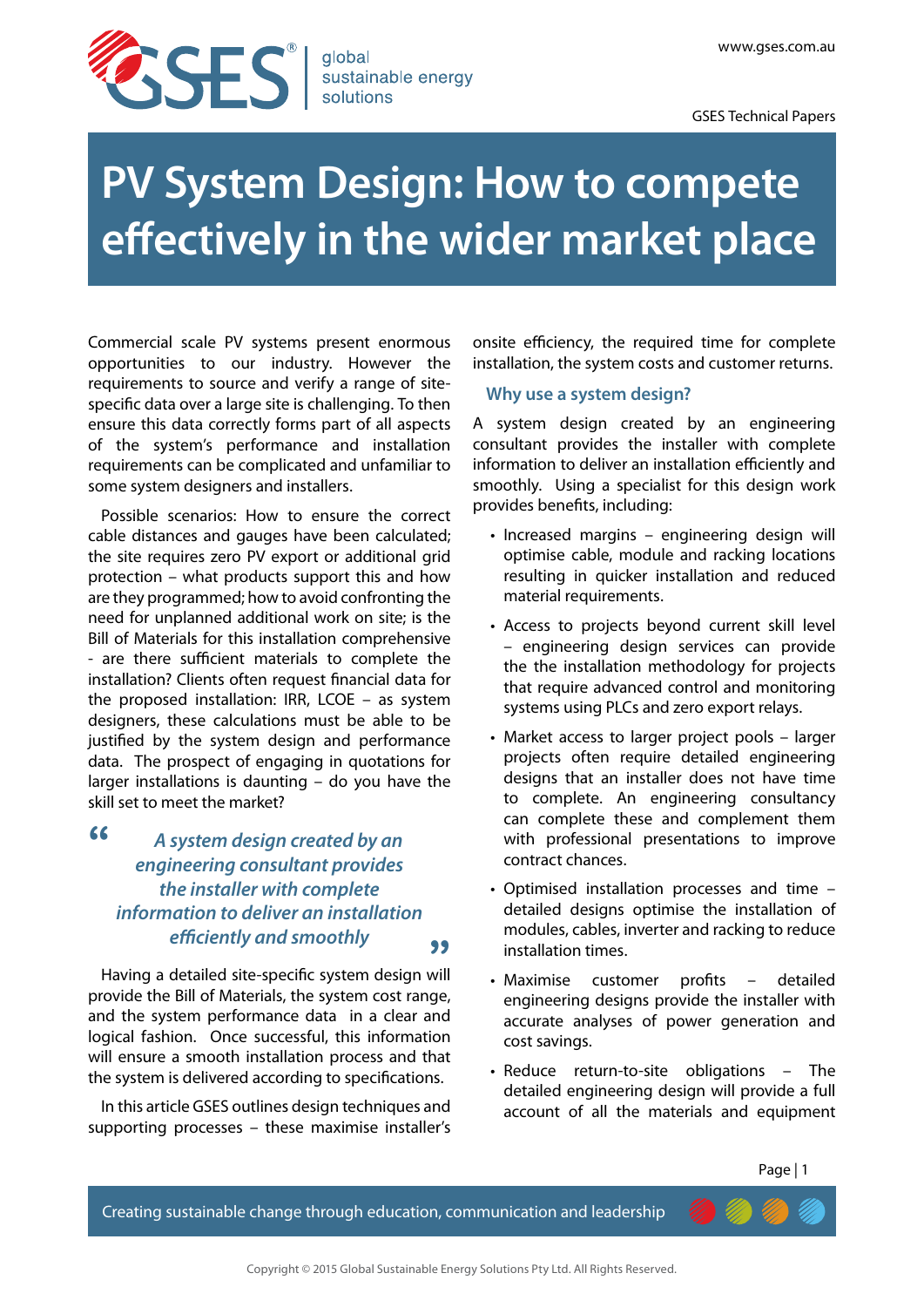

# **PV System Design: How to compete effectively in the wider market place**

Commercial scale PV systems present enormous opportunities to our industry. However the requirements to source and verify a range of sitespecific data over a large site is challenging. To then ensure this data correctly forms part of all aspects of the system's performance and installation requirements can be complicated and unfamiliar to some system designers and installers.

Possible scenarios: How to ensure the correct cable distances and gauges have been calculated; the site requires zero PV export or additional grid protection – what products support this and how are they programmed; how to avoid confronting the need for unplanned additional work on site; is the Bill of Materials for this installation comprehensive - are there sufficient materials to complete the installation? Clients often request financial data for the proposed installation: IRR, LCOE – as system designers, these calculations must be able to be justified by the system design and performance data. The prospect of engaging in quotations for larger installations is daunting – do you have the skill set to meet the market?

**"**

# Having a detailed site-specific system design will *efficiently and smoothly* **"**  *A system design created by an engineering consultant provides the installer with complete information to deliver an installation*

provide the Bill of Materials, the system cost range, and the system performance data in a clear and logical fashion. Once successful, this information will ensure a smooth installation process and that the system is delivered according to specifications.

In this article GSES outlines design techniques and supporting processes – these maximise installer's

onsite efficiency, the required time for complete installation, the system costs and customer returns.

## **Why use a system design?**

A system design created by an engineering consultant provides the installer with complete information to deliver an installation efficiently and smoothly. Using a specialist for this design work provides benefits, including:

- Increased margins engineering design will optimise cable, module and racking locations resulting in quicker installation and reduced material requirements.
- • Access to projects beyond current skill level – engineering design services can provide the the installation methodology for projects that require advanced control and monitoring systems using PLCs and zero export relays.
- Market access to larger project pools larger projects often require detailed engineering designs that an installer does not have time to complete. An engineering consultancy can complete these and complement them with professional presentations to improve contract chances.
- • Optimised installation processes and time detailed designs optimise the installation of modules, cables, inverter and racking to reduce installation times.
- Maximise customer profits detailed engineering designs provide the installer with accurate analyses of power generation and cost savings.
- Reduce return-to-site obligations The detailed engineering design will provide a full account of all the materials and equipment

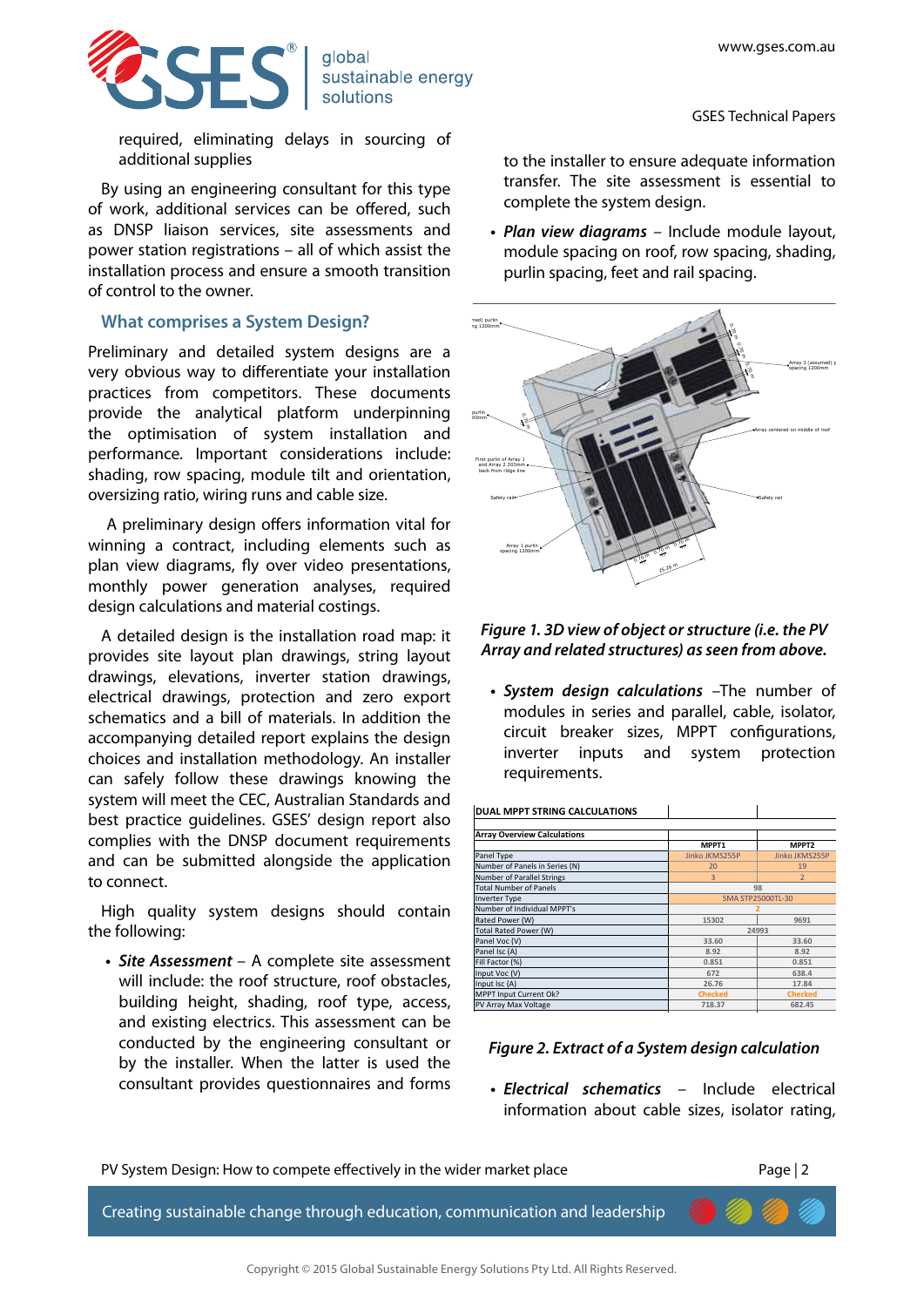GSES Technical Papers



sustainable energy solutions

required, eliminating delays in sourcing of additional supplies

By using an engineering consultant for this type of work, additional services can be offered, such as DNSP liaison services, site assessments and power station registrations – all of which assist the installation process and ensure a smooth transition of control to the owner.

## **What comprises a System Design?**

Preliminary and detailed system designs are a very obvious way to differentiate your installation practices from competitors. These documents provide the analytical platform underpinning sunting the optimisation of system installation and performance. Important considerations include: shading, row spacing, module tilt and orientation, oversizing ratio, wiring runs and cable size.

A preliminary design offers information vital for winning a contract, including elements such as plan view diagrams, fly over video presentations, monthly power generation analyses, required design calculations and material costings. **Site Plan - THE CONCOURSE : WILLOUGHBY CITY**

A detailed design is the installation road map: it provides site layout plan drawings, string layout 4 drawings, elevations, inverter station drawings, electrical drawings, protection and zero export schematics and a bill of materials. In addition the accompanying detailed report explains the design choices and installation methodology. An installer can safely follow these drawings knowing the system will meet the CEC, Australian Standards and best practice guidelines. GSES' design report also complies with the DNSP document requirements and can be submitted alongside the application to connect. 12/11/15 13/11/15 13/11/15 13/11

High quality system designs should contain the following:

**•**  *Site Assessment* – A complete site assessment will include: the roof structure, roof obstacles, building height, shading, roof type, access, and existing electrics. This assessment can be conducted by the engineering consultant or by the installer. When the latter is used the consultant provides questionnaires and forms

to the installer to ensure adequate information transfer. The site assessment is essential to complete the system design.

**•**  *Plan view diagrams* – Include module layout, module spacing on roof, row spacing, shading, purlin spacing, feet and rail spacing.



Figure 1. 3D view of object or structure (i.e. the PV Array and related structures) as seen from above. r structure (**i** e\_the PV **Global Sustainable Energy Solutions**

**•**  *System design calculations* –The number of modules in series and parallel, cable, isolator, circuit breaker sizes, MPPT configurations, inverter inputs and system protection requirements.

| <b>DUAL MPPT STRING CALCULATIONS</b> |                |                          |  |  |
|--------------------------------------|----------------|--------------------------|--|--|
|                                      |                |                          |  |  |
| <b>Array Overview Calculations</b>   |                |                          |  |  |
|                                      | MPPT1          | MPPT <sub>2</sub>        |  |  |
| Panel Type                           | Jinko JKMS255P | Jinko JKMS255P           |  |  |
| Number of Panels in Series (N)       | 20             | 19                       |  |  |
| Number of Parallel Strings           |                |                          |  |  |
| <b>Total Number of Panels</b>        |                | 98                       |  |  |
| Inverter Type                        |                | <b>SMA STP25000TL-30</b> |  |  |
| Number of Individual MPPT's          |                |                          |  |  |
| Rated Power (W)                      | 15302          | 9691                     |  |  |
| Total Rated Power (W)                |                | 24993                    |  |  |
| Panel Voc (V)                        | 33.60          | 33.60                    |  |  |
| Panel Isc (A)                        | 8.92           | 8.92                     |  |  |
| Fill Factor (%)                      | 0.851          | 0.851                    |  |  |
| Input Voc (V)                        | 672            | 638.4                    |  |  |
| Input Isc (A)                        | 26.76          | 17.84                    |  |  |
| MPPT Input Current Ok?               | <b>Checked</b> | <b>Checked</b>           |  |  |
| PV Array Max Voltage                 | 718.37         | 682.45                   |  |  |
|                                      |                |                          |  |  |

# *Figure 2. Extract of a System design calculation* Phases output Distance to Inverter (m) 7 **Turn on V** 188 Max AC current [per phase; line to neutral] (A) DC Cable Resistance (Ohm\*mm2 **3 36.20**

· Electrical schematics - Include electrical information about cable sizes, isolator rating,

Min Number of Panels **16 16**



2 5.0% 10.0%

Creating sustainable change through education, communication and leadership

Min Cell Temp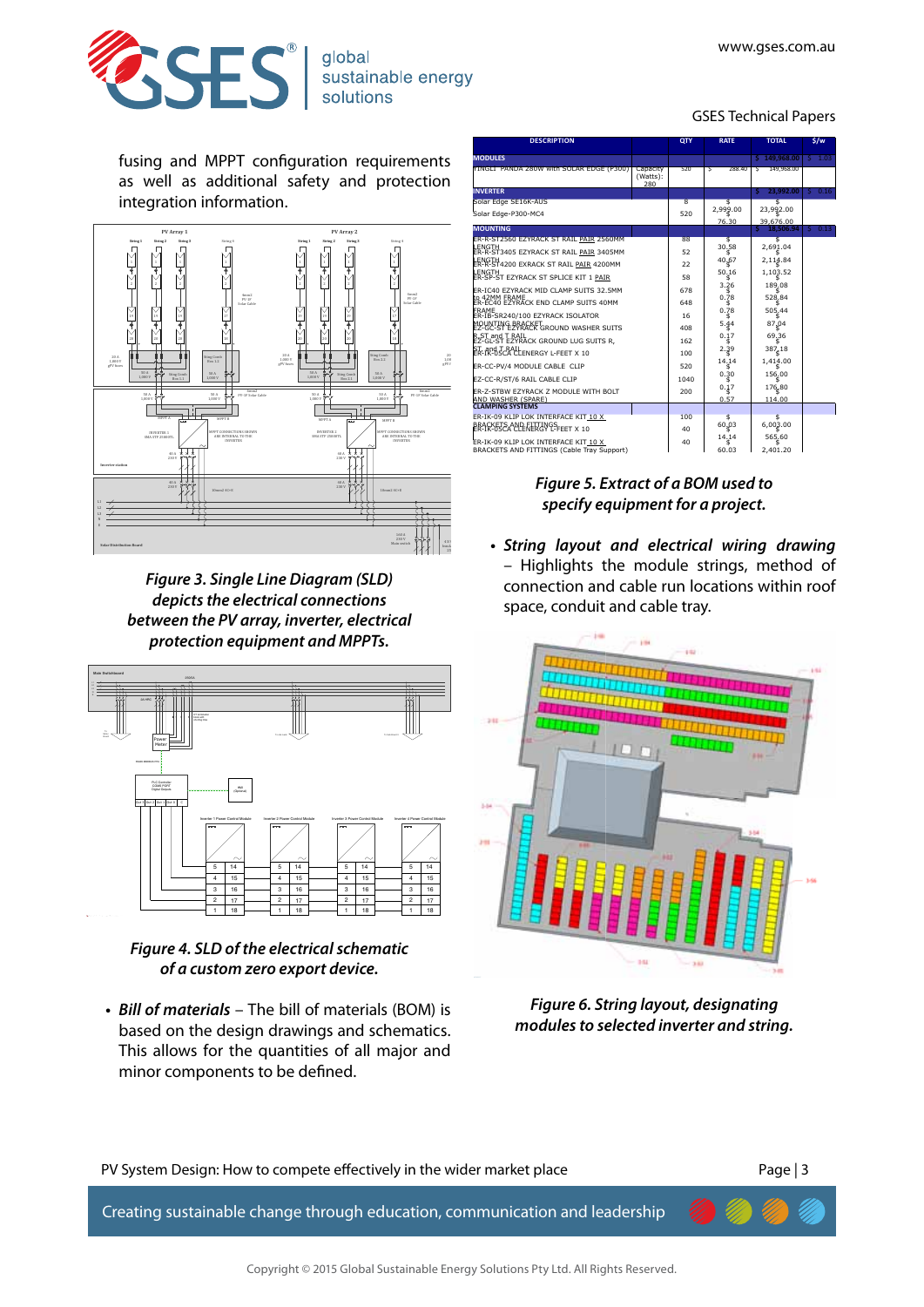GSES Technical Papers



fusing and MPPT configuration requirements as well as additional safety and protection integration information.



*Figure 3. Single Line Diagram (SLD) depicts the electrical connections between the PV array, inverter, electrical protection equipment and MPPTs.*



 $F_{\text{H}}$  *Figure 4. SLD of the electrical schematic* of a custom zero export device.

**•**  *Bill of materials* – The bill of materials (BOM) is based on the design drawings and schematics. This allows for the quantities of all major and minor components to be defined.

| <b>DESCRIPTION</b>                                         |                             | QTY                     | <b>RATE</b> | <b>TOTAL</b>                | \$/w       |
|------------------------------------------------------------|-----------------------------|-------------------------|-------------|-----------------------------|------------|
| <b>MODULES</b>                                             |                             |                         |             | \$149,968.00                | $S = 1.03$ |
| YINGLI PANDA 280W with SOLAR EDGE (P300)                   | Capacity<br>(Watts):<br>280 | 520                     | τ<br>288.40 | 149.968.00<br>ड             |            |
| <b>INVERTER</b>                                            |                             |                         |             | 23.992.00<br>s.             | 50.16      |
| Solar Edge SE16K-AUS                                       |                             | $\overline{\mathbf{g}}$ | s           | s                           |            |
| Solar Edge-P300-MC4                                        |                             | 520                     | 2.999.00    | 23,992.00                   |            |
| <b>MOUNTING</b>                                            |                             |                         | 76.30       | 39,676.00<br>s<br>18.506.94 | $S = 0.13$ |
| ER-R-ST2560 EZYRACK ST RAIL PAIR 2560MM                    |                             | 88                      | s           | s                           |            |
| LENGTH<br>ER-R-ST3405 EZYRACK ST RAIL <u>PAIR</u> 3405MM   |                             | 52                      | 30.58       | 2.691.04                    |            |
| LENGTH<br>ER-R-ST4200 EXRACK ST RAIL <u>PAIR</u> 4200MM    |                             | 22                      | 40.67       | 2.114.84                    |            |
| LENGTH<br>ER-SP-ST EZYRACK ST SPLICE KIT 1 <u>PAIR</u>     |                             |                         | 50.16       | 1,103.52                    |            |
|                                                            |                             | 58                      | 3.26        | 189,08                      |            |
| FR-TC40 FZYRACK MTD CLAMP SUITS 32.5MM                     |                             | 678                     | 0.78        | 528.84                      |            |
| to 42MM FRAME<br>ER-EC40 EZYRACK END CLAMP SUITS 40MM      |                             | 648                     | 0.78        | 505.44                      |            |
| FRAME<br>ER-IB-SR240/100 EZYRACK ISOLATOR                  |                             | 16                      |             |                             |            |
| MOUNTING BRACKET<br>EZ-GC-ST EZYRACK GROUND WASHER SUITS   |                             | 408                     | 5.44        | 87.04                       |            |
| R,ST and T RAIL<br>EZ-GL-ST EZYRACK GROUND LUG SUITS R,    |                             | 162                     | 0.17        | 69.36                       |            |
| ET ROSCALLENERGY L-FEET X 10                               |                             | 100                     | 2.39        | 387.18                      |            |
| ER-CC-PV/4 MODULE CABLE CLIP                               |                             | 520                     | 14.14       | 1,414.00                    |            |
| EZ-CC-R/ST/6 RAIL CABLE CLIP                               |                             | 1040                    | 0.30        | 156,00                      |            |
|                                                            |                             |                         | 0.17        | 176.80                      |            |
| ER-Z-STBW EZYRACK Z MODULE WITH BOLT<br>AND WASHER (SPARE) |                             | 200                     | 0.57        | 114.00                      |            |
| <b>CLAMPING SYSTEMS</b>                                    |                             |                         |             |                             |            |
| ER-IK-09 KLIP LOK INTERFACE KIT 10 X                       |                             | 100                     | Ś<br>60.03  | s<br>6.003.00               |            |
| BRACKETS AND FITTINGS<br>IER-IK-05CA CLENERGY L-FEET X 10  |                             | 40                      |             |                             |            |
| FR-TK-09 KLTP LOK INTERFACE KIT 10 X                       |                             | 40                      | 14.14       | 565.60                      |            |
| BRACKETS AND FITTINGS (Cable Trav Support)                 |                             |                         | 60.03       | 2.401.20                    |            |

#### ${\mathcal{F}}$  **i** gure 5. Extract of a BOM used to specify equipment for a project.  $\sim$   $\sim$

**•** String layout and electrical wiring drawing - Highlights the module strings, method of connection and cable run locations within roof space, conduit and cable tray.



Figure 6. String layout, designating *modules to selected inverter and string.*

PV System Design: How to compete effectively in the wider market place

Page | 3

Creating sustainable change through education, communication and leadership

Copyright © 2015 Global Sustainable Energy Solutions Pty Ltd. All Rights Reserved.